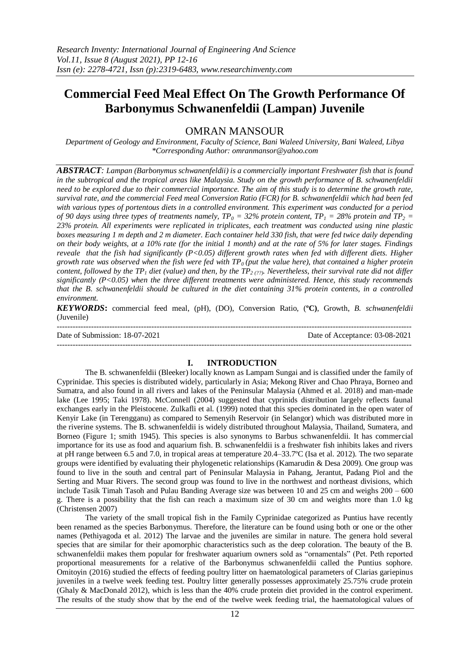# **Commercial Feed Meal Effect On The Growth Performance Of Barbonymus Schwanenfeldii (Lampan) Juvenile**

OMRAN MANSOUR

*Department of Geology and Environment, Faculty of Science, Bani Waleed University, Bani Waleed, Libya \*Corresponding Author: omranmansor@yahoo.com*

*ABSTRACT: Lampan (Barbonymus schwanenfeldii) is a commercially important Freshwater fish that is found in the subtropical and the tropical areas like Malaysia. Study on the growth performance of B. schwanenfeldii need to be explored due to their commercial importance. The aim of this study is to determine the growth rate, survival rate, and the commercial Feed meal Conversion Ratio (FCR) for B. schwanenfeldii which had been fed with various types of portentous diets in a controlled environment. This experiment was conducted for a period of 90 days using three types of treatments namely,*  $TP_0 = 32\%$  *protein content,*  $TP_1 = 28\%$  *protein and*  $TP_2 = 28\%$ *23% protein. All experiments were replicated in triplicates, each treatment was conducted using nine plastic boxes measuring 1 m depth and 2 m diameter. Each container held 330 fish, that were fed twice daily depending on their body weights, at a 10% rate (for the initial 1 month) and at the rate of 5% for later stages. Findings reveale that the fish had significantly (P<0.05) different growth rates when fed with different diets. Higher growth rate was observed when the fish were fed with TP0 (put the value here), that contained a higher protein content, followed by the TP<sup>1</sup> diet (value) and then, by the TP2 (??). Nevertheless, their survival rate did not differ significantly (P<0.05) when the three different treatments were administered. Hence, this study recommends that the B. schwanenfeldii should be cultured in the diet containing 31% protein contents, in a controlled environment.* 

*KEYWORDS***:** commercial feed meal, (pH), (DO), Conversion Ratio, (**ºC)**, Growth, *B. schwanenfeldii* (Juvenile)

--------------------------------------------------------------------------------------------------------------------------------------- Date of Submission: 18-07-2021 Date of Acceptance: 03-08-2021  $-1\leq i\leq n-1\leq n-1\leq n-1\leq n-1\leq n-1\leq n-1\leq n-1\leq n-1\leq n-1\leq n-1\leq n-1\leq n-1\leq n-1\leq n-1\leq n-1\leq n-1\leq n-1\leq n-1\leq n-1\leq n-1\leq n-1\leq n-1\leq n-1\leq n-1\leq n-1\leq n-1\leq n-1\leq n-1\leq n-1\leq n-1\leq n-1\leq n-1\leq n-1\leq n-1\leq n-1\leq n$ 

## **I. INTRODUCTION**

The B. schwanenfeldii (Bleeker) locally known as Lampam Sungai and is classified under the family of Cyprinidae. This species is distributed widely, particularly in Asia; Mekong River and Chao Phraya, Borneo and Sumatra, and also found in all rivers and lakes of the Peninsular Malaysia (Ahmed et al. 2018) and man-made lake (Lee 1995; Taki 1978). McConnell (2004) suggested that cyprinids distribution largely reflects faunal exchanges early in the Pleistocene. Zulkafli et al. (1999) noted that this species dominated in the open water of Kenyir Lake (in Terengganu) as compared to Semenyih Reservoir (in Selangor) which was distributed more in the riverine systems. The B. schwanenfeldii is widely distributed throughout Malaysia, Thailand, Sumatera, and Borneo (Figure 1; smith 1945). This species is also synonyms to Barbus schwanenfeldii. It has commercial importance for its use as food and aquarium fish. B. schwanenfeldii is a freshwater fish inhibits lakes and rivers at pH range between 6.5 and 7.0, in tropical areas at temperature 20.4–33.7ºC (Isa et al. 2012). The two separate groups were identified by evaluating their phylogenetic relationships (Kamarudin & Desa 2009). One group was found to live in the south and central part of Peninsular Malaysia in Pahang, Jerantut, Padang Piol and the Serting and Muar Rivers. The second group was found to live in the northwest and northeast divisions, which include Tasik Timah Tasoh and Pulau Banding Average size was between 10 and 25 cm and weighs 200 – 600 g. There is a possibility that the fish can reach a maximum size of 30 cm and weights more than 1.0 kg (Christensen 2007)

The variety of the small tropical fish in the Family Cyprinidae categorized as Puntius have recently been renamed as the species Barbonymus. Therefore, the literature can be found using both or one or the other names (Pethiyagoda et al. 2012) The larvae and the juveniles are similar in nature. The genera hold several species that are similar for their apomorphic characteristics such as the deep coloration. The beauty of the B. schwanenfeldii makes them popular for freshwater aquarium owners sold as "ornamentals" (Pet. Peth reported proportional measurements for a relative of the Barbonymus schwanenfeldii called the Puntius sophore. Omitoyin (2016) studied the effects of feeding poultry litter on haematological parameters of Clarias gariepinus juveniles in a twelve week feeding test. Poultry litter generally possesses approximately 25.75% crude protein (Ghaly & MacDonald 2012), which is less than the 40% crude protein diet provided in the control experiment. The results of the study show that by the end of the twelve week feeding trial, the haematological values of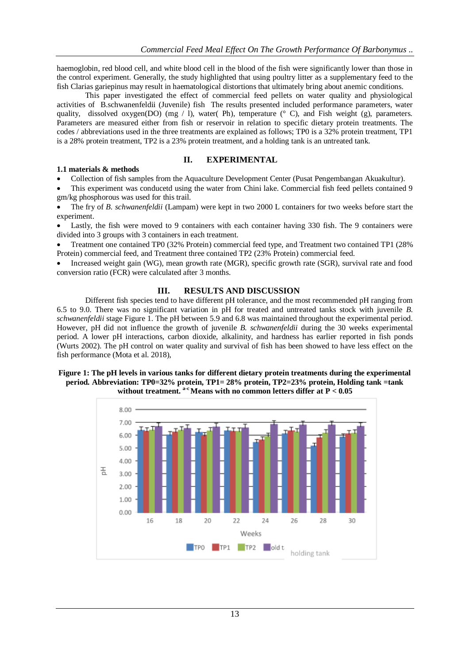haemoglobin, red blood cell, and white blood cell in the blood of the fish were significantly lower than those in the control experiment. Generally, the study highlighted that using poultry litter as a supplementary feed to the fish Clarias gariepinus may result in haematological distortions that ultimately bring about anemic conditions.

This paper investigated the effect of commercial feed pellets on water quality and physiological activities of B.schwanenfeldii (Juvenile) fish The results presented included performance parameters, water quality, dissolved oxygen(DO) (mg / l), water( Ph), temperature ( $\degree$  C), and Fish weight (g), parameters. Parameters are measured either from fish or reservoir in relation to specific dietary protein treatments. The codes / abbreviations used in the three treatments are explained as follows; TP0 is a 32% protein treatment, TP1 is a 28% protein treatment, TP2 is a 23% protein treatment, and a holding tank is an untreated tank.

## **II. EXPERIMENTAL**

## **1.1 materials & methods**

Collection of fish samples from the Aquaculture Development Center (Pusat Pengembangan Akuakultur).

 This experiment was conducetd using the water from Chini lake. Commercial fish feed pellets contained 9 gm/kg phosphorous was used for this trail.

 The fry of *B. schwanenfeldii* (Lampam) were kept in two 2000 L containers for two weeks before start the experiment.

 Lastly, the fish were moved to 9 containers with each container having 330 fish. The 9 containers were divided into 3 groups with 3 containers in each treatment.

 Treatment one contained TP0 (32% Protein) commercial feed type, and Treatment two contained TP1 (28% Protein) commercial feed, and Treatment three contained TP2 (23% Protein) commercial feed.

 Increased weight gain (WG), mean growth rate (MGR), specific growth rate (SGR), survival rate and food conversion ratio (FCR) were calculated after 3 months.

## **III. RESULTS AND DISCUSSION**

Different fish species tend to have different pH tolerance, and the most recommended pH ranging from 6.5 to 9.0. There was no significant variation in pH for treated and untreated tanks stock with juvenile *B. schwanenfeldii* stage Figure 1. The pH between 5.9 and 6.8 was maintained throughout the experimental period. However, pH did not influence the growth of juvenile *B. schwanenfeldii* during the 30 weeks experimental period. A lower pH interactions, carbon dioxide, alkalinity, and hardness has earlier reported in fish ponds (Wurts 2002). The pH control on water quality and survival of fish has been showed to have less effect on the fish performance (Mota et al. 2018),

#### **Figure 1: The pH levels in various tanks for different dietary protein treatments during the experimental period***.* **Abbreviation: TP0=32% protein, TP1= 28% protein, TP2=23% protein, Holding tank =tank without treatment. a-c Means with no common letters differ at P < 0.05**

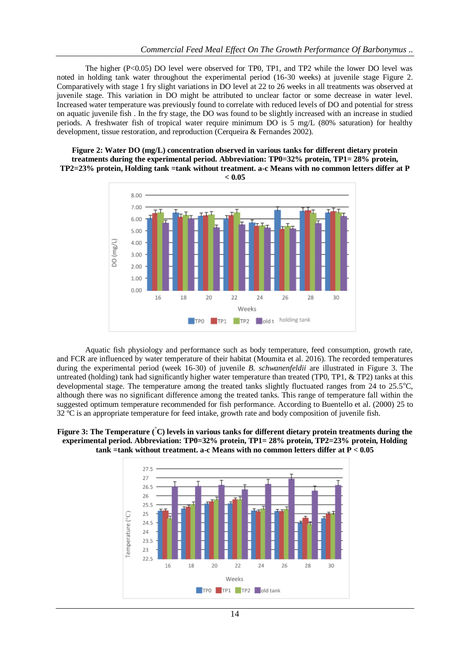The higher  $(P<0.05)$  DO level were observed for TP0, TP1, and TP2 while the lower DO level was noted in holding tank water throughout the experimental period (16-30 weeks) at juvenile stage Figure 2. Comparatively with stage 1 fry slight variations in DO level at 22 to 26 weeks in all treatments was observed at juvenile stage. This variation in DO might be attributed to unclear factor or some decrease in water level. Increased water temperature was previously found to correlate with reduced levels of DO and potential for stress on aquatic juvenile fish . In the fry stage, the DO was found to be slightly increased with an increase in studied periods. A freshwater fish of tropical water require minimum DO is 5 mg/L (80% saturation) for healthy development, tissue restoration, and reproduction (Cerqueira & Fernandes 2002).

**Figure 2: Water DO (mg/L) concentration observed in various tanks for different dietary protein treatments during the experimental period. Abbreviation: TP0=32% protein, TP1= 28% protein, TP2=23% protein, Holding tank =tank without treatment. a-c Means with no common letters differ at P** 

**< 0.05**



Aquatic fish physiology and performance such as body temperature, feed consumption, growth rate, and FCR are influenced by water temperature of their habitat (Moumita et al. 2016). The recorded temperatures during the experimental period (week 16-30) of juvenile *B. schwanenfeldii* are illustrated in Figure 3. The untreated (holding) tank had significantly higher water temperature than treated (TP0, TP1,  $&$  TP2) tanks at this developmental stage. The temperature among the treated tanks slightly fluctuated ranges from  $24$  to  $25.5^{\circ}$ C, although there was no significant difference among the treated tanks. This range of temperature fall within the suggested optimum temperature recommended for fish performance. According to Buentello et al. (2000) 25 to 32 ºC is an appropriate temperature for feed intake, growth rate and body composition of juvenile fish.

**Figure 3: The Temperature (°C) levels in various tanks for different dietary protein treatments during the experimental period. Abbreviation: TP0=32% protein, TP1= 28% protein, TP2=23% protein, Holding tank =tank without treatment. a-c Means with no common letters differ at P < 0.05**

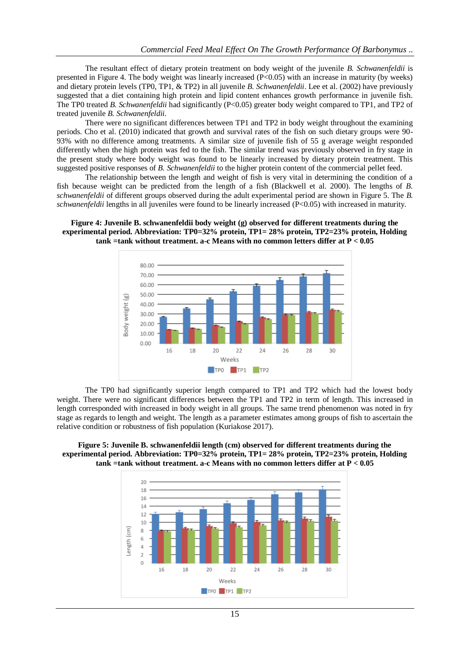The resultant effect of dietary protein treatment on body weight of the juvenile *B. Schwanenfeldii* is presented in Figure 4. The body weight was linearly increased (P<0.05) with an increase in maturity (by weeks) and dietary protein levels (TP0, TP1, & TP2) in all juvenile *B. Schwanenfeldii*. Lee et al. (2002) have previously suggested that a diet containing high protein and lipid content enhances growth performance in juvenile fish. The TP0 treated *B. Schwanenfeldii* had significantly (P<0.05) greater body weight compared to TP1, and TP2 of treated juvenile *B. Schwanenfeldii.*

There were no significant differences between TP1 and TP2 in body weight throughout the examining periods. Cho et al. (2010) indicated that growth and survival rates of the fish on such dietary groups were 90- 93% with no difference among treatments. A similar size of juvenile fish of 55 g average weight responded differently when the high protein was fed to the fish. The similar trend was previously observed in fry stage in the present study where body weight was found to be linearly increased by dietary protein treatment. This suggested positive responses of *B. Schwanenfeldii* to the higher protein content of the commercial pellet feed.

The relationship between the length and weight of fish is very vital in determining the condition of a fish because weight can be predicted from the length of a fish (Blackwell et al. 2000). The lengths of *B. schwanenfeldii* of different groups observed during the adult experimental period are shown in Figure 5. The *B. schwanenfeldii* lengths in all juveniles were found to be linearly increased (P<0.05) with increased in maturity.

**Figure 4: Juvenile B. schwanenfeldii body weight (g) observed for different treatments during the experimental period. Abbreviation: TP0=32% protein, TP1= 28% protein, TP2=23% protein, Holding tank =tank without treatment. a-c Means with no common letters differ at P < 0.05**



The TP0 had significantly superior length compared to TP1 and TP2 which had the lowest body weight. There were no significant differences between the TP1 and TP2 in term of length. This increased in length corresponded with increased in body weight in all groups. The same trend phenomenon was noted in fry stage as regards to length and weight. The length as a parameter estimates among groups of fish to ascertain the relative condition or robustness of fish population (Kuriakose 2017).

**Figure 5: Juvenile B. schwanenfeldii length (cm) observed for different treatments during the experimental period. Abbreviation: TP0=32% protein, TP1= 28% protein, TP2=23% protein, Holding tank =tank without treatment. a-c Means with no common letters differ at P < 0.05**